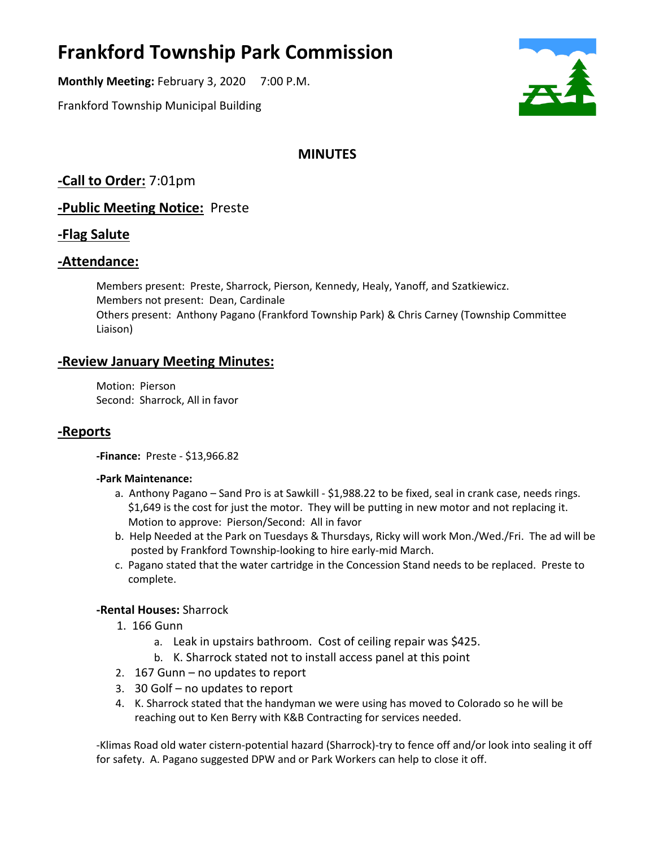# **Frankford Township Park Commission**

**Monthly Meeting:** February 3, 2020 7:00 P.M.

Frankford Township Municipal Building



## **MINUTES**

**-Call to Order:** 7:01pm

**-Public Meeting Notice:** Preste

## **-Flag Salute**

## **-Attendance:**

Members present: Preste, Sharrock, Pierson, Kennedy, Healy, Yanoff, and Szatkiewicz. Members not present: Dean, Cardinale Others present: Anthony Pagano (Frankford Township Park) & Chris Carney (Township Committee Liaison)

## **-Review January Meeting Minutes:**

Motion: Pierson Second: Sharrock, All in favor

## **-Reports**

**-Finance:** Preste - \$13,966.82

#### **-Park Maintenance:**

- a. Anthony Pagano Sand Pro is at Sawkill \$1,988.22 to be fixed, seal in crank case, needs rings. \$1,649 is the cost for just the motor. They will be putting in new motor and not replacing it. Motion to approve: Pierson/Second: All in favor
- b. Help Needed at the Park on Tuesdays & Thursdays, Ricky will work Mon./Wed./Fri. The ad will be posted by Frankford Township-looking to hire early-mid March.
- c. Pagano stated that the water cartridge in the Concession Stand needs to be replaced. Preste to complete.

### **-Rental Houses:** Sharrock

- 1. 166 Gunn
	- a. Leak in upstairs bathroom. Cost of ceiling repair was \$425.
	- b. K. Sharrock stated not to install access panel at this point
- 2. 167 Gunn no updates to report
- 3. 30 Golf no updates to report
- 4. K. Sharrock stated that the handyman we were using has moved to Colorado so he will be reaching out to Ken Berry with K&B Contracting for services needed.

-Klimas Road old water cistern-potential hazard (Sharrock)-try to fence off and/or look into sealing it off for safety. A. Pagano suggested DPW and or Park Workers can help to close it off.